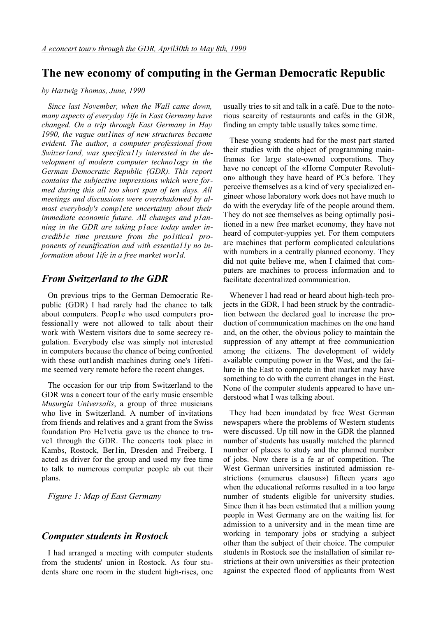# **The new economy of computing in the German Democratic Republic**

#### *by Hartwig Thomas, June, 1990*

*Since last November, when the Wall came down, many aspects of everyday 1ife in East Germany have changed. On a trip through East Germany in Hay 1990, the vague out1ines of new structures became evident. The author, a computer professional from Switzer1and, was specifica11y interested in the development of modern computer techno1ogy in the German Democratic Republic (GDR). This report contains the subjective impressions which were formed during this all too short span of ten days. All meetings and discussions were overshadowed by almost everybody's comp1ete uncertainty about their immediate economic future. All changes and p1anning in the GDR are taking p1ace today under incredib1e time pressure from the po1itica1 proponents of reunification and with essentia11y no information about 1ife in a free market wor1d.*

#### *From Switzerland to the GDR*

On previous trips to the German Democratic Republic (GDR) I had rarely had the chance to talk about computers. Peop1e who used computers professional1y were not allowed to talk about their work with Western visitors due to some secrecy regulation. Everybody else was simply not interested in computers because the chance of being confronted with these outlandish machines during one's lifetime seemed very remote before the recent changes.

The occasion for our trip from Switzerland to the GDR was a concert tour of the early music ensemble *Musurgia Universalis*, a group of three musicians who live in Switzerland. A number of invitations from friends and relatives and a grant from the Swiss foundation Pro He1vetia gave us the chance to trave1 through the GDR. The concerts took place in Kambs, Rostock, Ber1in, Dresden and Freiberg. I acted as driver for the group and used my free time to talk to numerous computer people ab out their plans.

*Figure 1: Map of East Germany*

#### *Computer students in Rostock*

I had arranged a meeting with computer students from the students' union in Rostock. As four students share one room in the student high-rises, one usually tries to sit and talk in a café. Due to the notorious scarcity of restaurants and cafés in the GDR, finding an empty table usually takes some time.

These young students had for the most part started their studies with the object of programming mainframes for large state-owned corporations. They have no concept of the «Horne Computer Revolution» although they have heard of PCs before. They perceive themselves as a kind of very specialized engineer whose laboratory work does not have much to do with the everyday life of the people around them. They do not see themselves as being optimally positioned in a new free market economy, they have not heard of computer-yuppies yet. For them computers are machines that perform complicated calculations with numbers in a centrally planned economy. They did not quite believe me, when I claimed that computers are machines to process information and to facilitate decentralized communication.

Whenever I had read or heard about high-tech projects in the GDR, I had been struck by the contradiction between the declared goal to increase the production of communication machines on the one hand and, on the other, the obvious policy to maintain the suppression of any attempt at free communication among the citizens. The development of widely available computing power in the West, and the failure in the East to compete in that market may have something to do with the current changes in the East. None of the computer students appeared to have understood what I was talking about.

They had been inundated by free West German newspapers where the problems of Western students were discussed. Up till now in the GDR the planned number of students has usually matched the planned number of places to study and the planned number of jobs. Now there is a fe ar of competition. The West German universities instituted admission restrictions («numerus clausus») fifteen years ago when the educational reforms resulted in a too large number of students eligible for university studies. Since then it has been estimated that a million young people in West Germany are on the waiting list for admission to a university and in the mean time are working in temporary jobs or studying a subject other than the subject of their choice. The computer students in Rostock see the installation of similar restrictions at their own universities as their protection against the expected flood of applicants from West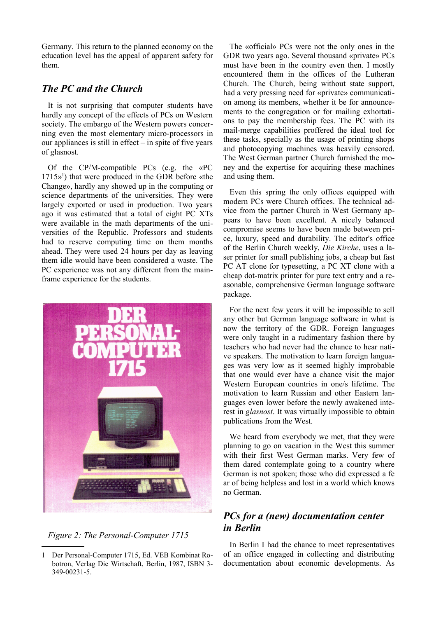Germany. This return to the planned economy on the education level has the appeal of apparent safety for them.

### *The PC and the Church*

It is not surprising that computer students have hardly any concept of the effects of PCs on Western society. The embargo of the Western powers concerning even the most elementary micro-processors in our appliances is still in effect  $-$  in spite of five years of glasnost.

Of the CP/M-compatible PCs (e.g. the «PC 1715» [1](#page-1-0) ) that were produced in the GDR before «the Change», hardly any showed up in the computing or science departments of the universities. They were largely exported or used in production. Two years ago it was estimated that a total of eight PC XTs were available in the math departments of the universities of the Republic. Professors and students had to reserve computing time on them months ahead. They were used 24 hours per day as leaving them idle would have been considered a waste. The PC experience was not any different from the mainframe experience for the students.



*Figure 2: The Personal-Computer 1715*

The «official» PCs were not the only ones in the GDR two years ago. Several thousand «private» PCs must have been in the country even then. I mostly encountered them in the offices of the Lutheran Church. The Church, being without state support, had a very pressing need for «private» communication among its members, whether it be for announcements to the congregation or for mailing exhortations to pay the membership fees. The PC with its mail-merge capabilities proffered the ideal tool for these tasks, specially as the usage of printing shops and photocopying machines was heavily censored. The West German partner Church furnished the money and the expertise for acquiring these machines and using them.

Even this spring the only offices equipped with modern PCs were Church offices. The technical advice from the partner Church in West Germany appears to have been excellent. A nicely balanced compromise seems to have been made between price, luxury, speed and durability. The editor's office of the Berlin Church weekly, *Die Kirche*, uses a laser printer for small publishing jobs, a cheap but fast PC AT clone for typesetting, a PC XT clone with a cheap dot-matrix printer for pure text entry and a reasonable, comprehensive German language software package.

For the next few years it will be impossible to sell any other but German language software in what is now the territory of the GDR. Foreign languages were only taught in a rudimentary fashion there by teachers who had never had the chance to hear native speakers. The motivation to learn foreign languages was very low as it seemed highly improbable that one would ever have a chance visit the major Western European countries in one/s lifetime. The motivation to learn Russian and other Eastern languages even lower before the newly awakened interest in *glasnost*. It was virtually impossible to obtain publications from the West.

We heard from everybody we met, that they were planning to go on vacation in the West this summer with their first West German marks. Very few of them dared contemplate going to a country where German is not spoken; those who did expressed a fe ar of being helpless and lost in a world which knows no German.

## *PCs for a (new) documentation center in Berlin*

In Berlin I had the chance to meet representatives of an office engaged in collecting and distributing documentation about economic developments. As

<span id="page-1-0"></span><sup>1</sup> Der Personal-Computer 1715, Ed. VEB Kombinat Robotron, Verlag Die Wirtschaft, Berlin, 1987, ISBN 3- 349-00231-5.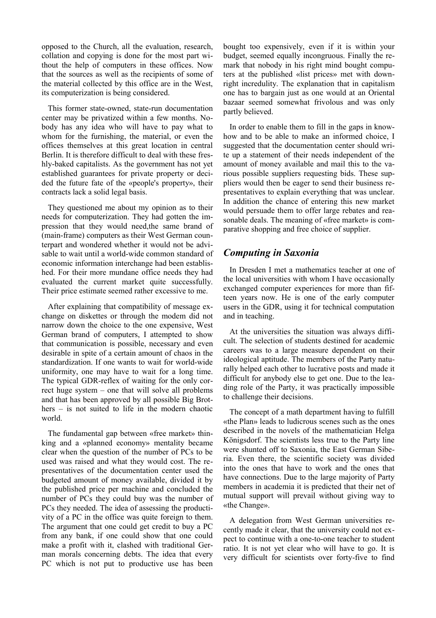opposed to the Church, all the evaluation, research, collation and copying is done for the most part without the help of computers in these offices. Now that the sources as well as the recipients of some of the material collected by this office are in the West, its computerization is being considered.

This former state-owned, state-run documentation center may be privatized within a few months. Nobody has any idea who will have to pay what to whom for the furnishing, the material, or even the offices themselves at this great location in central Berlin. It is therefore difficult to deal with these freshly-baked capitalists. As the government has not yet established guarantees for private property or decided the future fate of the «people's property», their contracts lack a solid legal basis.

They questioned me about my opinion as to their needs for computerization. They had gotten the impression that they would need,the same brand of (main-frame) computers as their West German counterpart and wondered whether it would not be advisable to wait until a world-wide common standard of economic information interchange had been established. For their more mundane office needs they had evaluated the current market quite successfully. Their price estimate seemed rather excessive to me.

After explaining that compatibility of message exchange on diskettes or through the modem did not narrow down the choice to the one expensive, West German brand of computers, I attempted to show that communication is possible, necessary and even desirable in spite of a certain amount of chaos in the standardization. If one wants to wait for world-wide uniformity, one may have to wait for a long time. The typical GDR-reflex of waiting for the only correct huge system – one that will solve all problems and that has been approved by all possible Big Brothers – is not suited to life in the modern chaotic world.

The fundamental gap between «free market» thinking and a «planned economy» mentality became clear when the question of the number of PCs to be used was raised and what they would cost. The representatives of the documentation center used the budgeted amount of money available, divided it by the published price per machine and concluded the number of PCs they could buy was the number of PCs they needed. The idea of assessing the productivity of a PC in the office was quite foreign to them. The argument that one could get credit to buy a PC from any bank, if one could show that one could make a profit with it, clashed with traditional German morals concerning debts. The idea that every PC which is not put to productive use has been

bought too expensively, even if it is within your budget, seemed equally incongruous. Finally the remark that nobody in his right mind bought computers at the published «list prices» met with downright incredulity. The explanation that in capitalism one has to bargain just as one would at an Oriental bazaar seemed somewhat frivolous and was only partly believed.

In order to enable them to fill in the gaps in knowhow and to be able to make an informed choice, I suggested that the documentation center should write up a statement of their needs independent of the amount of money available and mail this to the various possible suppliers requesting bids. These suppliers would then be eager to send their business representatives to explain everything that was unclear. In addition the chance of entering this new market would persuade them to offer large rebates and reasonable deals. The meaning of «free market» is comparative shopping and free choice of supplier.

### *Computing in Saxonia*

In Dresden I met a mathematics teacher at one of the local universities with whom I have occasionally exchanged computer experiences for more than fifteen years now. He is one of the early computer users in the GDR, using it for technical computation and in teaching.

At the universities the situation was always difficult. The selection of students destined for academic careers was to a large measure dependent on their ideological aptitude. The members of the Party naturally helped each other to lucrative posts and made it difficult for anybody else to get one. Due to the leading role of the Party, it was practically impossible to challenge their decisions.

The concept of a math department having to fulfill «the Plan» leads to ludicrous scenes such as the ones described in the novels of the mathematician Helga Königsdorf. The scientists less true to the Party line were shunted off to Saxonia, the East German Siberia. Even there, the scientific society was divided into the ones that have to work and the ones that have connections. Due to the large majority of Party members in academia it is predicted that their net of mutual support will prevail without giving way to «the Change».

A delegation from West German universities recently made it clear, that the university could not expect to continue with a one-to-one teacher to student ratio. It is not yet clear who will have to go. It is very difficult for scientists over forty-five to find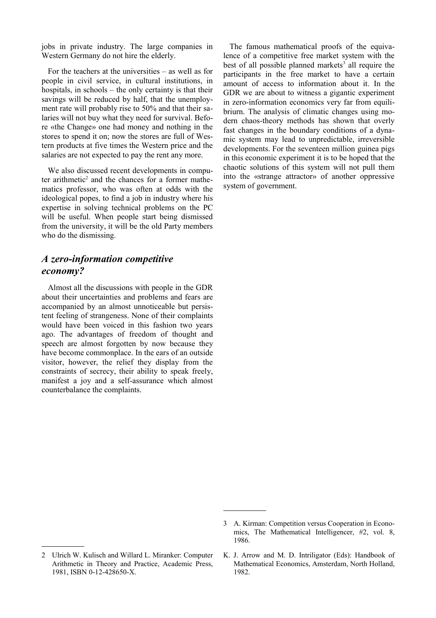jobs in private industry. The large companies in Western Germany do not hire the elderly.

For the teachers at the universities – as weIl as for people in civil service, in cultural institutions, in hospitals, in schools – the only certainty is that their savings will be reduced by half, that the unemployment rate will probably rise to 50% and that their salaries will not buy what they need for survival. Before «the Change» one had money and nothing in the stores to spend it on; now the stores are full of Western products at five times the Western price and the salaries are not expected to pay the rent any more.

We also discussed recent developments in compu-ter arithmetic<sup>[2](#page-3-0)</sup> and the chances for a former mathematics professor, who was often at odds with the ideological popes, to find a job in industry where his expertise in solving technical problems on the PC will be useful. When people start being dismissed from the university, it will be the old Party members who do the dismissing.

### *A zero-information competitive economy?*

Almost all the discussions with people in the GDR about their uncertainties and problems and fears are accompanied by an almost unnoticeable but persistent feeling of strangeness. None of their complaints would have been voiced in this fashion two years ago. The advantages of freedom of thought and speech are almost forgotten by now because they have become commonplace. In the ears of an outside visitor, however, the relief they display from the constraints of secrecy, their ability to speak freely, manifest a joy and a self-assurance which almost counterbalance the complaints.

The famous mathematical proofs of the equivalence of a competitive free market system with the best of all possible planned markets<sup>[3](#page-3-1)</sup> all require the participants in the free market to have a certain amount of access to information about it. In the GDR we are about to witness a gigantic experiment in zero-information economics very far from equilibriurn. The analysis of climatic changes using modern chaos-theory methods has shown that overly fast changes in the boundary conditions of a dynamic system may lead to unpredictable, irreversible developments. For the seventeen million guinea pigs in this economic experiment it is to be hoped that the chaotic solutions of this system will not pull them into the «strange attractor» of another oppressive system of government.

<span id="page-3-0"></span><sup>2</sup> Ulrich W. Kulisch and Willard L. Miranker: Computer Arithmetic in Theory and Practice, Academic Press, 1981, ISBN 0-12-428650-X.

<span id="page-3-1"></span><sup>3</sup> A. Kirman: Competition versus Cooperation in Economics, The Mathematical Intelligencer, #2, vol. 8, 1986.

K. J. Arrow and M. D. Intriligator (Eds): Handbook of Mathematical Economics, Amsterdam, North Holland, 1982.